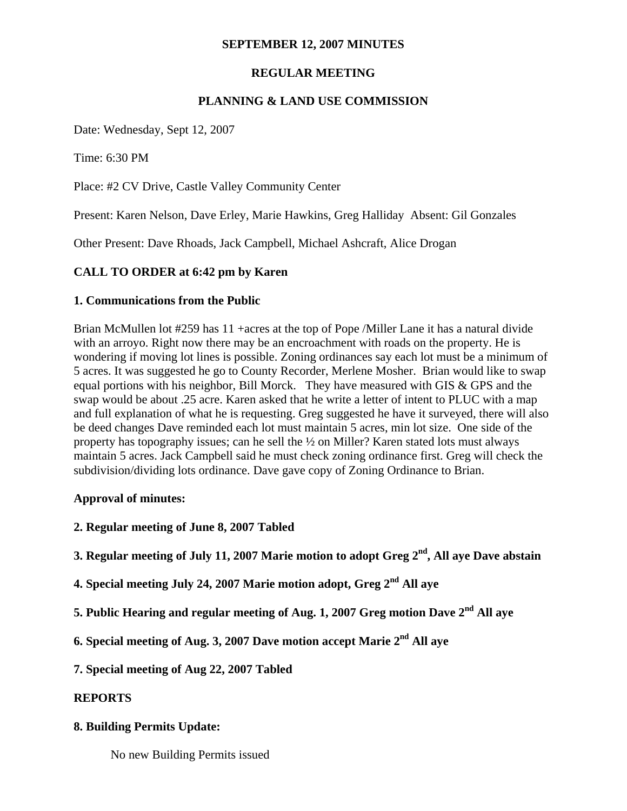# **SEPTEMBER 12, 2007 MINUTES**

# **REGULAR MEETING**

# **PLANNING & LAND USE COMMISSION**

Date: Wednesday, Sept 12, 2007

Time: 6:30 PM

Place: #2 CV Drive, Castle Valley Community Center

Present: Karen Nelson, Dave Erley, Marie Hawkins, Greg Halliday Absent: Gil Gonzales

Other Present: Dave Rhoads, Jack Campbell, Michael Ashcraft, Alice Drogan

### **CALL TO ORDER at 6:42 pm by Karen**

#### **1. Communications from the Public**

Brian McMullen lot #259 has 11 +acres at the top of Pope /Miller Lane it has a natural divide with an arroyo. Right now there may be an encroachment with roads on the property. He is wondering if moving lot lines is possible. Zoning ordinances say each lot must be a minimum of 5 acres. It was suggested he go to County Recorder, Merlene Mosher. Brian would like to swap equal portions with his neighbor, Bill Morck. They have measured with GIS & GPS and the swap would be about .25 acre. Karen asked that he write a letter of intent to PLUC with a map and full explanation of what he is requesting. Greg suggested he have it surveyed, there will also be deed changes Dave reminded each lot must maintain 5 acres, min lot size. One side of the property has topography issues; can he sell the ½ on Miller? Karen stated lots must always maintain 5 acres. Jack Campbell said he must check zoning ordinance first. Greg will check the subdivision/dividing lots ordinance. Dave gave copy of Zoning Ordinance to Brian.

### **Approval of minutes:**

- **2. Regular meeting of June 8, 2007 Tabled**
- **3. Regular meeting of July 11, 2007 Marie motion to adopt Greg 2nd, All aye Dave abstain**
- **4. Special meeting July 24, 2007 Marie motion adopt, Greg 2nd All aye**
- **5. Public Hearing and regular meeting of Aug. 1, 2007 Greg motion Dave 2nd All aye**
- **6. Special meeting of Aug. 3, 2007 Dave motion accept Marie 2nd All aye**
- **7. Special meeting of Aug 22, 2007 Tabled**

### **REPORTS**

### **8. Building Permits Update:**

No new Building Permits issued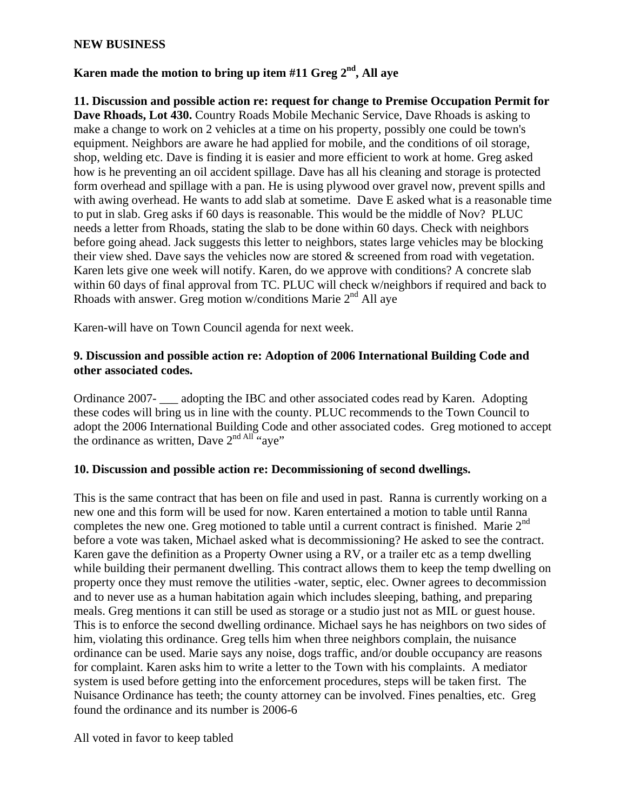#### **NEW BUSINESS**

# Karen made the motion to bring up item #11 Greg 2<sup>nd</sup>, All ave

**11. Discussion and possible action re: request for change to Premise Occupation Permit for Dave Rhoads, Lot 430.** Country Roads Mobile Mechanic Service, Dave Rhoads is asking to make a change to work on 2 vehicles at a time on his property, possibly one could be town's equipment. Neighbors are aware he had applied for mobile, and the conditions of oil storage, shop, welding etc. Dave is finding it is easier and more efficient to work at home. Greg asked how is he preventing an oil accident spillage. Dave has all his cleaning and storage is protected form overhead and spillage with a pan. He is using plywood over gravel now, prevent spills and with awing overhead. He wants to add slab at sometime. Dave E asked what is a reasonable time to put in slab. Greg asks if 60 days is reasonable. This would be the middle of Nov? PLUC needs a letter from Rhoads, stating the slab to be done within 60 days. Check with neighbors before going ahead. Jack suggests this letter to neighbors, states large vehicles may be blocking their view shed. Dave says the vehicles now are stored  $\&$  screened from road with vegetation. Karen lets give one week will notify. Karen, do we approve with conditions? A concrete slab within 60 days of final approval from TC. PLUC will check w/neighbors if required and back to Rhoads with answer. Greg motion w/conditions Marie 2<sup>nd</sup> All ave

Karen-will have on Town Council agenda for next week.

### **9. Discussion and possible action re: Adoption of 2006 International Building Code and other associated codes.**

Ordinance 2007- \_\_\_ adopting the IBC and other associated codes read by Karen. Adopting these codes will bring us in line with the county. PLUC recommends to the Town Council to adopt the 2006 International Building Code and other associated codes. Greg motioned to accept the ordinance as written, Dave  $2^{nd}$  All "ave"

#### **10. Discussion and possible action re: Decommissioning of second dwellings.**

This is the same contract that has been on file and used in past. Ranna is currently working on a new one and this form will be used for now. Karen entertained a motion to table until Ranna completes the new one. Greg motioned to table until a current contract is finished. Marie  $2<sup>nd</sup>$ before a vote was taken, Michael asked what is decommissioning? He asked to see the contract. Karen gave the definition as a Property Owner using a RV, or a trailer etc as a temp dwelling while building their permanent dwelling. This contract allows them to keep the temp dwelling on property once they must remove the utilities -water, septic, elec. Owner agrees to decommission and to never use as a human habitation again which includes sleeping, bathing, and preparing meals. Greg mentions it can still be used as storage or a studio just not as MIL or guest house. This is to enforce the second dwelling ordinance. Michael says he has neighbors on two sides of him, violating this ordinance. Greg tells him when three neighbors complain, the nuisance ordinance can be used. Marie says any noise, dogs traffic, and/or double occupancy are reasons for complaint. Karen asks him to write a letter to the Town with his complaints. A mediator system is used before getting into the enforcement procedures, steps will be taken first. The Nuisance Ordinance has teeth; the county attorney can be involved. Fines penalties, etc. Greg found the ordinance and its number is 2006-6

All voted in favor to keep tabled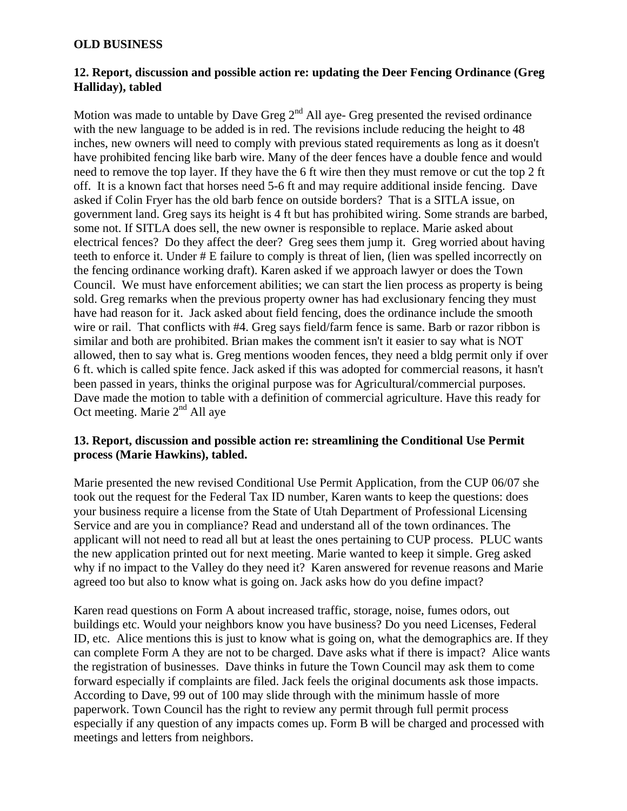### **OLD BUSINESS**

### **12. Report, discussion and possible action re: updating the Deer Fencing Ordinance (Greg Halliday), tabled**

Motion was made to untable by Dave Greg  $2<sup>nd</sup>$  All aye- Greg presented the revised ordinance with the new language to be added is in red. The revisions include reducing the height to 48 inches, new owners will need to comply with previous stated requirements as long as it doesn't have prohibited fencing like barb wire. Many of the deer fences have a double fence and would need to remove the top layer. If they have the 6 ft wire then they must remove or cut the top 2 ft off. It is a known fact that horses need 5-6 ft and may require additional inside fencing. Dave asked if Colin Fryer has the old barb fence on outside borders? That is a SITLA issue, on government land. Greg says its height is 4 ft but has prohibited wiring. Some strands are barbed, some not. If SITLA does sell, the new owner is responsible to replace. Marie asked about electrical fences? Do they affect the deer? Greg sees them jump it. Greg worried about having teeth to enforce it. Under # E failure to comply is threat of lien, (lien was spelled incorrectly on the fencing ordinance working draft). Karen asked if we approach lawyer or does the Town Council. We must have enforcement abilities; we can start the lien process as property is being sold. Greg remarks when the previous property owner has had exclusionary fencing they must have had reason for it. Jack asked about field fencing, does the ordinance include the smooth wire or rail. That conflicts with #4. Greg says field/farm fence is same. Barb or razor ribbon is similar and both are prohibited. Brian makes the comment isn't it easier to say what is NOT allowed, then to say what is. Greg mentions wooden fences, they need a bldg permit only if over 6 ft. which is called spite fence. Jack asked if this was adopted for commercial reasons, it hasn't been passed in years, thinks the original purpose was for Agricultural/commercial purposes. Dave made the motion to table with a definition of commercial agriculture. Have this ready for Oct meeting. Marie 2<sup>nd</sup> All aye

# **13. Report, discussion and possible action re: streamlining the Conditional Use Permit process (Marie Hawkins), tabled.**

Marie presented the new revised Conditional Use Permit Application, from the CUP 06/07 she took out the request for the Federal Tax ID number, Karen wants to keep the questions: does your business require a license from the State of Utah Department of Professional Licensing Service and are you in compliance? Read and understand all of the town ordinances. The applicant will not need to read all but at least the ones pertaining to CUP process. PLUC wants the new application printed out for next meeting. Marie wanted to keep it simple. Greg asked why if no impact to the Valley do they need it? Karen answered for revenue reasons and Marie agreed too but also to know what is going on. Jack asks how do you define impact?

Karen read questions on Form A about increased traffic, storage, noise, fumes odors, out buildings etc. Would your neighbors know you have business? Do you need Licenses, Federal ID, etc. Alice mentions this is just to know what is going on, what the demographics are. If they can complete Form A they are not to be charged. Dave asks what if there is impact? Alice wants the registration of businesses. Dave thinks in future the Town Council may ask them to come forward especially if complaints are filed. Jack feels the original documents ask those impacts. According to Dave, 99 out of 100 may slide through with the minimum hassle of more paperwork. Town Council has the right to review any permit through full permit process especially if any question of any impacts comes up. Form B will be charged and processed with meetings and letters from neighbors.